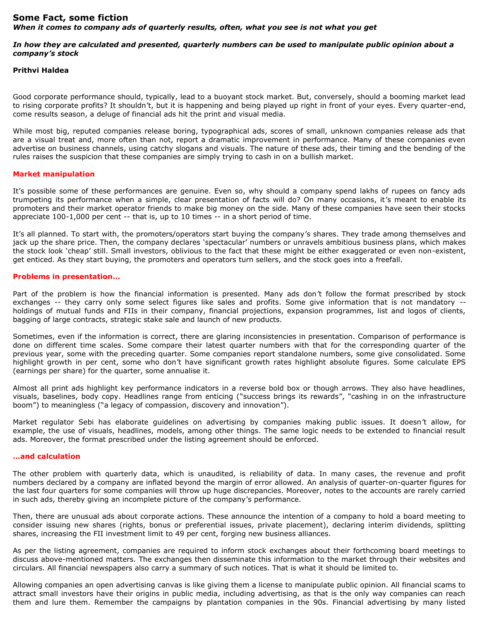# **Some Fact, some fiction** *When it comes to company ads of quarterly results, often, what you see is not what you get*

# *In how they are calculated and presented, quarterly numbers can be used to manipulate public opinion about a company's stock*

#### **Prithvi Haldea**

Good corporate performance should, typically, lead to a buoyant stock market. But, conversely, should a booming market lead to rising corporate profits? It shouldn't, but it is happening and being played up right in front of your eyes. Every quarter-end, come results season, a deluge of financial ads hit the print and visual media.

While most big, reputed companies release boring, typographical ads, scores of small, unknown companies release ads that are a visual treat and, more often than not, report a dramatic improvement in performance. Many of these companies even advertise on business channels, using catchy slogans and visuals. The nature of these ads, their timing and the bending of the rules raises the suspicion that these companies are simply trying to cash in on a bullish market.

# **Market manipulation**

It's possible some of these performances are genuine. Even so, why should a company spend lakhs of rupees on fancy ads trumpeting its performance when a simple, clear presentation of facts will do? On many occasions, it's meant to enable its promoters and their market operator friends to make big money on the side. Many of these companies have seen their stocks appreciate 100-1,000 per cent -- that is, up to 10 times -- in a short period of time.

It's all planned. To start with, the promoters/operators start buying the company's shares. They trade among themselves and jack up the share price. Then, the company declares 'spectacular' numbers or unravels ambitious business plans, which makes the stock look 'cheap' still. Small investors, oblivious to the fact that these might be either exaggerated or even non-existent, get enticed. As they start buying, the promoters and operators turn sellers, and the stock goes into a freefall.

# **Problems in presentation…**

Part of the problem is how the financial information is presented. Many ads don't follow the format prescribed by stock exchanges -- they carry only some select figures like sales and profits. Some give information that is not mandatory - holdings of mutual funds and FIIs in their company, financial projections, expansion programmes, list and logos of clients, bagging of large contracts, strategic stake sale and launch of new products.

Sometimes, even if the information is correct, there are glaring inconsistencies in presentation. Comparison of performance is done on different time scales. Some compare their latest quarter numbers with that for the corresponding quarter of the previous year, some with the preceding quarter. Some companies report standalone numbers, some give consolidated. Some highlight growth in per cent, some who don't have significant growth rates highlight absolute figures. Some calculate EPS (earnings per share) for the quarter, some annualise it.

Almost all print ads highlight key performance indicators in a reverse bold box or though arrows. They also have headlines, visuals, baselines, body copy. Headlines range from enticing ("success brings its rewards", "cashing in on the infrastructure boom") to meaningless ("a legacy of compassion, discovery and innovation").

Market regulator Sebi has elaborate guidelines on advertising by companies making public issues. It doesn't allow, for example, the use of visuals, headlines, models, among other things. The same logic needs to be extended to financial result ads. Moreover, the format prescribed under the listing agreement should be enforced.

#### **…and calculation**

The other problem with quarterly data, which is unaudited, is reliability of data. In many cases, the revenue and profit numbers declared by a company are inflated beyond the margin of error allowed. An analysis of quarter-on-quarter figures for the last four quarters for some companies will throw up huge discrepancies. Moreover, notes to the accounts are rarely carried in such ads, thereby giving an incomplete picture of the company's performance.

Then, there are unusual ads about corporate actions. These announce the intention of a company to hold a board meeting to consider issuing new shares (rights, bonus or preferential issues, private placement), declaring interim dividends, splitting shares, increasing the FII investment limit to 49 per cent, forging new business alliances.

As per the listing agreement, companies are required to inform stock exchanges about their forthcoming board meetings to discuss above-mentioned matters. The exchanges then disseminate this information to the market through their websites and circulars. All financial newspapers also carry a summary of such notices. That is what it should be limited to.

Allowing companies an open advertising canvas is like giving them a license to manipulate public opinion. All financial scams to attract small investors have their origins in public media, including advertising, as that is the only way companies can reach them and lure them. Remember the campaigns by plantation companies in the 90s. Financial advertising by many listed